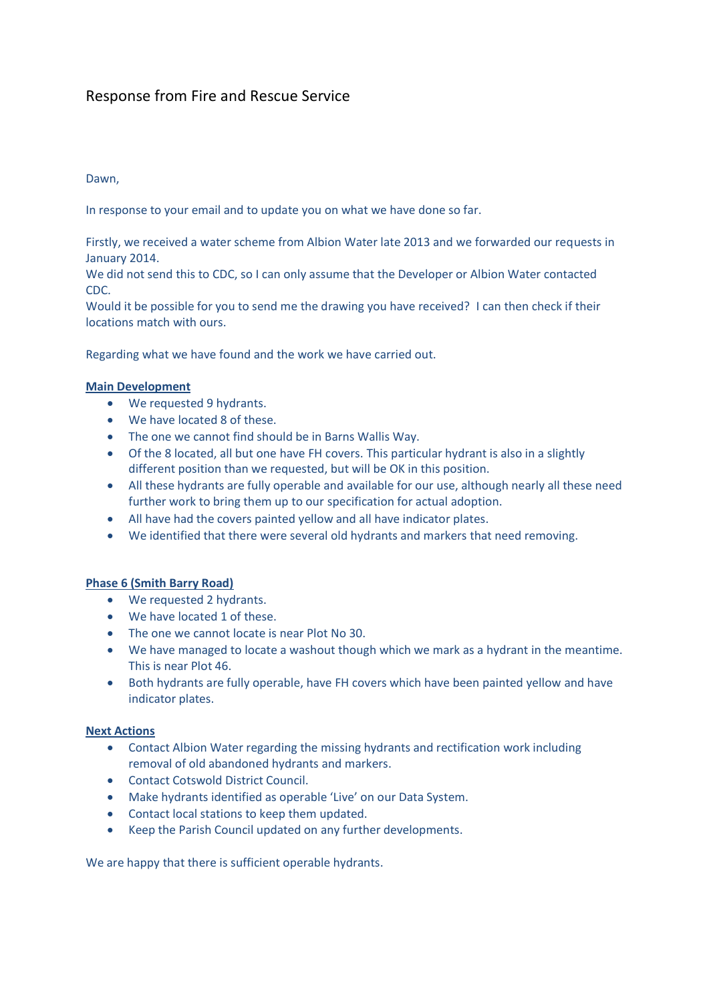# Response from Fire and Rescue Service

## Dawn,

In response to your email and to update you on what we have done so far.

Firstly, we received a water scheme from Albion Water late 2013 and we forwarded our requests in January 2014.

We did not send this to CDC, so I can only assume that the Developer or Albion Water contacted CDC.

Would it be possible for you to send me the drawing you have received? I can then check if their locations match with ours.

Regarding what we have found and the work we have carried out.

#### **Main Development**

- We requested 9 hydrants.
- We have located 8 of these.
- The one we cannot find should be in Barns Wallis Way.
- Of the 8 located, all but one have FH covers. This particular hydrant is also in a slightly different position than we requested, but will be OK in this position.
- All these hydrants are fully operable and available for our use, although nearly all these need further work to bring them up to our specification for actual adoption.
- All have had the covers painted yellow and all have indicator plates.
- We identified that there were several old hydrants and markers that need removing.

#### **Phase 6 (Smith Barry Road)**

- We requested 2 hydrants.
- We have located 1 of these.
- The one we cannot locate is near Plot No 30.
- We have managed to locate a washout though which we mark as a hydrant in the meantime. This is near Plot 46.
- Both hydrants are fully operable, have FH covers which have been painted yellow and have indicator plates.

#### **Next Actions**

- Contact Albion Water regarding the missing hydrants and rectification work including removal of old abandoned hydrants and markers.
- Contact Cotswold District Council.
- Make hydrants identified as operable 'Live' on our Data System.
- Contact local stations to keep them updated.
- Keep the Parish Council updated on any further developments.

We are happy that there is sufficient operable hydrants.